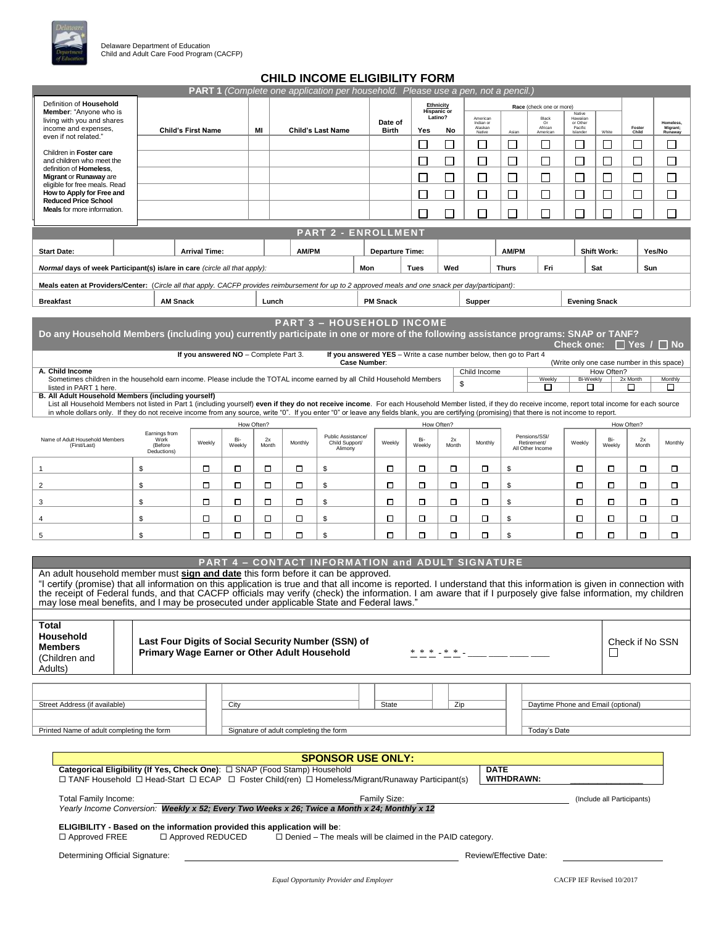

# **CHILD INCOME ELIGIBILITY FORM**

| Definition of Household<br>Ethnicity<br>Race (check one or more)<br><b>Hispanic</b> or<br>Member: "Anyone who is<br>Native<br>Latino?<br>American<br>Black<br>Hawaiian<br>living with you and shares<br>Date of<br>Indian or<br>or Other<br>Homeless,<br>Foster<br>income and expenses,<br>Alaskan<br>African<br>American<br><b>Pacific</b><br>Migrant;<br>MI<br><b>Child's First Name</b><br><b>Child's Last Name</b><br><b>Birth</b><br>Yes<br>No<br>Native<br>White<br>Child<br>Asian<br>Islander<br>Runaway<br>even if not related."<br>□<br>$\Box$<br>$\Box$<br>$\overline{\phantom{a}}$<br>$\Box$<br>$\overline{\phantom{a}}$<br>$\overline{\phantom{a}}$<br>$\Box$<br>$\mathcal{L}_{\mathcal{A}}$<br>Children in Foster care<br>Г<br>П<br>and children who meet the<br>$\mathcal{L}_{\mathcal{A}}$<br>$\Box$<br>$\sim$<br>$\Box$<br>П<br>$\mathcal{L}_{\mathcal{A}}$<br>$\Box$<br>definition of Homeless.<br>$\Box$<br>Migrant or Runaway are<br>⊔<br>$\sqcup$<br>$\Box$<br>$\overline{\phantom{a}}$<br>$\mathbf{L}$<br>ப<br>$\mathbf{I}$<br>ப<br>eligible for free meals. Read<br>How to Apply for Free and<br>П<br>П<br>П<br>$\sqcup$<br>$\mathsf{L}$<br>$\mathsf{L}$<br>$\sim$<br>$\mathsf{L}$<br><b>Reduced Price School</b><br><b>Meals</b> for more information.<br>П<br>П<br>┌<br>П<br>П<br>П<br>П<br>П<br>П<br><b>PART 2 - ENROLLMENT</b><br><b>AM/PM</b><br><b>AM/PM</b><br><b>Shift Work:</b><br>Yes/No<br><b>Start Date:</b><br><b>Arrival Time:</b><br><b>Departure Time:</b><br>Wed<br>Fri<br>Normal days of week Participant(s) is/are in care (circle all that apply):<br>Mon<br>Tues<br><b>Thurs</b><br>Sat<br>Sun<br>Meals eaten at Providers/Center: (Circle all that apply. CACFP provides reimbursement for up to 2 approved meals and one snack per day/participant):<br><b>PM Snack</b><br><b>Evening Snack</b><br><b>Breakfast</b><br><b>AM Snack</b><br>Lunch<br>Supper<br><b>PART 3 - HOUSEHOLD INCOME</b><br>Do any Household Members (including you) currently participate in one or more of the following assistance programs: SNAP or TANF?<br>Check one: $\Box$ Yes / $\Box$ No<br>If you answered NO - Complete Part 3.<br>If you answered YES - Write a case number below, then go to Part 4<br>Case Number:<br>(Write only one case number in this space)<br>A. Child Income<br>Child Income<br>How Often?<br>Weekly<br><b>Bi-Weekly</b><br>Monthly<br>Sometimes children in the household earn income. Please include the TOTAL income earned by all Child Household Members<br>2x Month<br>\$<br>◻<br>□<br>□<br>listed in PART 1 here.<br>□<br>B. All Adult Household Members (including yourself)<br>List all Household Members not listed in Part 1 (including yourself) even if they do not receive income. For each Household Member listed, if they do receive income, report total income for each source<br>in whole dollars only. If they do not receive income from any source, write "0". If you enter "0" or leave any fields blank, you are certifying (promising) that there is not income to report.<br>How Often?<br>How Often?<br>How Often?<br>Earnings from<br>Public Assistance/<br>Pensions/SSI/<br>Name of Adult Household Members<br>Bi-<br>Bi-<br>Bi-<br>Work<br>2x<br>2x<br>2x<br>Weekly<br>Monthly<br>Weekly<br>Monthly<br>Weekly<br>Child Support/<br>Retirement/<br>Monthly<br>Weekly<br>Weekly<br>(Before<br>Weekly<br>Month<br>Month<br>Month<br>(First/Last)<br>All Other Income<br>Alimony<br>Deductions)<br>\$<br>□<br>О<br>о<br>□<br>о<br>о<br>о<br>\$<br>◻<br>◻<br>\$<br>◻<br>□<br>□<br>$\mathbf{1}$<br>\$<br>о<br>$\overline{2}$<br>□<br>□<br>□<br>□<br>\$<br>□<br>□<br>0<br>□<br>\$<br>□<br>□<br>\$<br>□<br>□<br>\$<br>о<br>□<br>\$<br>□<br>о<br>о<br>□<br>□<br>□<br>◻<br>3<br>\$<br>О<br>\$<br>□<br>о<br>\$<br>□<br>□<br>о<br>о<br>о<br>о<br>□<br>о<br>□<br>4<br>\$<br>$\Box$<br>о<br>о<br>О<br>\$<br>□<br>о<br>О<br>\$<br>о<br>□<br>□<br>□<br>5<br><b>PART 4 - CONTACT INFORMATION and ADULT SIGNATURE</b><br>An adult household member must sign and date this form before it can be approved.<br>"I certify (promise) that all information on this application is true and that all income is reported. I understand that this information is given in connection with<br>the receipt of Federal funds, and that CACFP officials may verify (check) the information. I am aware that if I purposely give false information, my children<br>may lose meal benefits, and I may be prosecuted under applicable State and Federal laws."<br>Total<br>Household<br>Last Four Digits of Social Security Number (SSN) of<br>Check if No SSN<br><b>Members</b><br><b>Primary Wage Earner or Other Adult Household</b><br>* * * _ * * _ ____<br>$\Box$<br>(Children and<br>Adults)<br>Street Address (if available)<br>State<br>Zip<br>Daytime Phone and Email (optional)<br>City<br>Printed Name of adult completing the form<br>Signature of adult completing the form<br>Today's Date<br><b>SPONSOR USE ONLY:</b><br>Categorical Eligibility (If Yes, Check One): $\Box$ SNAP (Food Stamp) Household<br><b>DATE</b><br>□ TANF Household □ Head-Start □ ECAP □ Foster Child(ren) □ Homeless/Migrant/Runaway Participant(s)<br>WITHDRAWN:<br>Total Family Income:<br>Family Size:<br>(Include all Participants)<br>Yearly Income Conversion: Weekly x 52; Every Two Weeks x 26; Twice a Month x 24; Monthly x 12<br>ELIGIBILITY - Based on the information provided this application will be:<br>□ Approved REDUCED<br>$\Box$ Denied – The meals will be claimed in the PAID category.<br>$\Box$ Approved FREE<br>Determining Official Signature:<br>Review/Effective Date: |  |  |  |  |  |  | <b>PART 1</b> (Complete one application per household. Please use a pen, not a pencil.) |  |  |  |  |  |  |  |  |  |  |  |
|-------------------------------------------------------------------------------------------------------------------------------------------------------------------------------------------------------------------------------------------------------------------------------------------------------------------------------------------------------------------------------------------------------------------------------------------------------------------------------------------------------------------------------------------------------------------------------------------------------------------------------------------------------------------------------------------------------------------------------------------------------------------------------------------------------------------------------------------------------------------------------------------------------------------------------------------------------------------------------------------------------------------------------------------------------------------------------------------------------------------------------------------------------------------------------------------------------------------------------------------------------------------------------------------------------------------------------------------------------------------------------------------------------------------------------------------------------------------------------------------------------------------------------------------------------------------------------------------------------------------------------------------------------------------------------------------------------------------------------------------------------------------------------------------------------------------------------------------------------------------------------------------------------------------------------------------------------------------------------------------------------------------------------------------------------------------------------------------------------------------------------------------------------------------------------------------------------------------------------------------------------------------------------------------------------------------------------------------------------------------------------------------------------------------------------------------------------------------------------------------------------------------------------------------------------------------------------------------------------------------------------------------------------------------------------------------------------------------------------------------------------------------------------------------------------------------------------------------------------------------------------------------------------------------------------------------------------------------------------------------------------------------------------------------------------------------------------------------------------------------------------------------------------------------------------------------------------------------------------------------------------------------------------------------------------------------------------------------------------------------------------------------------------------------------------------------------------------------------------------------------------------------------------------------------------------------------------------------------------------------------------------------------------------------------------------------------------------------------------------------------------------------------------------------------------------------------------------------------------------------------------------------------------------------------------------------------------------------------------------------------------------------------------------------------------------------------------------------------------------------------------------------------------------------------------------------------------------------------------------------------------------------------------------------------------------------------------------------------------------------------------------------------------------------------------------------------------------------------------------------------------------------------------------------------------------------------------------------------------------------------------------------------------------------------------------------------------------------------------------------------------------------------------------------------------------------------------------------------------------------------------------------------------------------------------------------------------------------------------------------------------------------------------------------------------------------------------------------------------------------------------------------------------------------------------------------------------------------------------------------------------------------------------------------------------------------------------------------------------------------------------------------------------------------------------------------------------------------------------------------------------------------------------------------------------------------------------------------------------------------------------------------------------|--|--|--|--|--|--|-----------------------------------------------------------------------------------------|--|--|--|--|--|--|--|--|--|--|--|
|                                                                                                                                                                                                                                                                                                                                                                                                                                                                                                                                                                                                                                                                                                                                                                                                                                                                                                                                                                                                                                                                                                                                                                                                                                                                                                                                                                                                                                                                                                                                                                                                                                                                                                                                                                                                                                                                                                                                                                                                                                                                                                                                                                                                                                                                                                                                                                                                                                                                                                                                                                                                                                                                                                                                                                                                                                                                                                                                                                                                                                                                                                                                                                                                                                                                                                                                                                                                                                                                                                                                                                                                                                                                                                                                                                                                                                                                                                                                                                                                                                                                                                                                                                                                                                                                                                                                                                                                                                                                                                                                                                                                                                                                                                                                                                                                                                                                                                                                                                                                                                                                                                                                                                                                                                                                                                                                                                                                                                                                                                                                                                                                                                                       |  |  |  |  |  |  |                                                                                         |  |  |  |  |  |  |  |  |  |  |  |
|                                                                                                                                                                                                                                                                                                                                                                                                                                                                                                                                                                                                                                                                                                                                                                                                                                                                                                                                                                                                                                                                                                                                                                                                                                                                                                                                                                                                                                                                                                                                                                                                                                                                                                                                                                                                                                                                                                                                                                                                                                                                                                                                                                                                                                                                                                                                                                                                                                                                                                                                                                                                                                                                                                                                                                                                                                                                                                                                                                                                                                                                                                                                                                                                                                                                                                                                                                                                                                                                                                                                                                                                                                                                                                                                                                                                                                                                                                                                                                                                                                                                                                                                                                                                                                                                                                                                                                                                                                                                                                                                                                                                                                                                                                                                                                                                                                                                                                                                                                                                                                                                                                                                                                                                                                                                                                                                                                                                                                                                                                                                                                                                                                                       |  |  |  |  |  |  |                                                                                         |  |  |  |  |  |  |  |  |  |  |  |
|                                                                                                                                                                                                                                                                                                                                                                                                                                                                                                                                                                                                                                                                                                                                                                                                                                                                                                                                                                                                                                                                                                                                                                                                                                                                                                                                                                                                                                                                                                                                                                                                                                                                                                                                                                                                                                                                                                                                                                                                                                                                                                                                                                                                                                                                                                                                                                                                                                                                                                                                                                                                                                                                                                                                                                                                                                                                                                                                                                                                                                                                                                                                                                                                                                                                                                                                                                                                                                                                                                                                                                                                                                                                                                                                                                                                                                                                                                                                                                                                                                                                                                                                                                                                                                                                                                                                                                                                                                                                                                                                                                                                                                                                                                                                                                                                                                                                                                                                                                                                                                                                                                                                                                                                                                                                                                                                                                                                                                                                                                                                                                                                                                                       |  |  |  |  |  |  |                                                                                         |  |  |  |  |  |  |  |  |  |  |  |
|                                                                                                                                                                                                                                                                                                                                                                                                                                                                                                                                                                                                                                                                                                                                                                                                                                                                                                                                                                                                                                                                                                                                                                                                                                                                                                                                                                                                                                                                                                                                                                                                                                                                                                                                                                                                                                                                                                                                                                                                                                                                                                                                                                                                                                                                                                                                                                                                                                                                                                                                                                                                                                                                                                                                                                                                                                                                                                                                                                                                                                                                                                                                                                                                                                                                                                                                                                                                                                                                                                                                                                                                                                                                                                                                                                                                                                                                                                                                                                                                                                                                                                                                                                                                                                                                                                                                                                                                                                                                                                                                                                                                                                                                                                                                                                                                                                                                                                                                                                                                                                                                                                                                                                                                                                                                                                                                                                                                                                                                                                                                                                                                                                                       |  |  |  |  |  |  |                                                                                         |  |  |  |  |  |  |  |  |  |  |  |
|                                                                                                                                                                                                                                                                                                                                                                                                                                                                                                                                                                                                                                                                                                                                                                                                                                                                                                                                                                                                                                                                                                                                                                                                                                                                                                                                                                                                                                                                                                                                                                                                                                                                                                                                                                                                                                                                                                                                                                                                                                                                                                                                                                                                                                                                                                                                                                                                                                                                                                                                                                                                                                                                                                                                                                                                                                                                                                                                                                                                                                                                                                                                                                                                                                                                                                                                                                                                                                                                                                                                                                                                                                                                                                                                                                                                                                                                                                                                                                                                                                                                                                                                                                                                                                                                                                                                                                                                                                                                                                                                                                                                                                                                                                                                                                                                                                                                                                                                                                                                                                                                                                                                                                                                                                                                                                                                                                                                                                                                                                                                                                                                                                                       |  |  |  |  |  |  |                                                                                         |  |  |  |  |  |  |  |  |  |  |  |
|                                                                                                                                                                                                                                                                                                                                                                                                                                                                                                                                                                                                                                                                                                                                                                                                                                                                                                                                                                                                                                                                                                                                                                                                                                                                                                                                                                                                                                                                                                                                                                                                                                                                                                                                                                                                                                                                                                                                                                                                                                                                                                                                                                                                                                                                                                                                                                                                                                                                                                                                                                                                                                                                                                                                                                                                                                                                                                                                                                                                                                                                                                                                                                                                                                                                                                                                                                                                                                                                                                                                                                                                                                                                                                                                                                                                                                                                                                                                                                                                                                                                                                                                                                                                                                                                                                                                                                                                                                                                                                                                                                                                                                                                                                                                                                                                                                                                                                                                                                                                                                                                                                                                                                                                                                                                                                                                                                                                                                                                                                                                                                                                                                                       |  |  |  |  |  |  |                                                                                         |  |  |  |  |  |  |  |  |  |  |  |
|                                                                                                                                                                                                                                                                                                                                                                                                                                                                                                                                                                                                                                                                                                                                                                                                                                                                                                                                                                                                                                                                                                                                                                                                                                                                                                                                                                                                                                                                                                                                                                                                                                                                                                                                                                                                                                                                                                                                                                                                                                                                                                                                                                                                                                                                                                                                                                                                                                                                                                                                                                                                                                                                                                                                                                                                                                                                                                                                                                                                                                                                                                                                                                                                                                                                                                                                                                                                                                                                                                                                                                                                                                                                                                                                                                                                                                                                                                                                                                                                                                                                                                                                                                                                                                                                                                                                                                                                                                                                                                                                                                                                                                                                                                                                                                                                                                                                                                                                                                                                                                                                                                                                                                                                                                                                                                                                                                                                                                                                                                                                                                                                                                                       |  |  |  |  |  |  |                                                                                         |  |  |  |  |  |  |  |  |  |  |  |
|                                                                                                                                                                                                                                                                                                                                                                                                                                                                                                                                                                                                                                                                                                                                                                                                                                                                                                                                                                                                                                                                                                                                                                                                                                                                                                                                                                                                                                                                                                                                                                                                                                                                                                                                                                                                                                                                                                                                                                                                                                                                                                                                                                                                                                                                                                                                                                                                                                                                                                                                                                                                                                                                                                                                                                                                                                                                                                                                                                                                                                                                                                                                                                                                                                                                                                                                                                                                                                                                                                                                                                                                                                                                                                                                                                                                                                                                                                                                                                                                                                                                                                                                                                                                                                                                                                                                                                                                                                                                                                                                                                                                                                                                                                                                                                                                                                                                                                                                                                                                                                                                                                                                                                                                                                                                                                                                                                                                                                                                                                                                                                                                                                                       |  |  |  |  |  |  |                                                                                         |  |  |  |  |  |  |  |  |  |  |  |
|                                                                                                                                                                                                                                                                                                                                                                                                                                                                                                                                                                                                                                                                                                                                                                                                                                                                                                                                                                                                                                                                                                                                                                                                                                                                                                                                                                                                                                                                                                                                                                                                                                                                                                                                                                                                                                                                                                                                                                                                                                                                                                                                                                                                                                                                                                                                                                                                                                                                                                                                                                                                                                                                                                                                                                                                                                                                                                                                                                                                                                                                                                                                                                                                                                                                                                                                                                                                                                                                                                                                                                                                                                                                                                                                                                                                                                                                                                                                                                                                                                                                                                                                                                                                                                                                                                                                                                                                                                                                                                                                                                                                                                                                                                                                                                                                                                                                                                                                                                                                                                                                                                                                                                                                                                                                                                                                                                                                                                                                                                                                                                                                                                                       |  |  |  |  |  |  |                                                                                         |  |  |  |  |  |  |  |  |  |  |  |
|                                                                                                                                                                                                                                                                                                                                                                                                                                                                                                                                                                                                                                                                                                                                                                                                                                                                                                                                                                                                                                                                                                                                                                                                                                                                                                                                                                                                                                                                                                                                                                                                                                                                                                                                                                                                                                                                                                                                                                                                                                                                                                                                                                                                                                                                                                                                                                                                                                                                                                                                                                                                                                                                                                                                                                                                                                                                                                                                                                                                                                                                                                                                                                                                                                                                                                                                                                                                                                                                                                                                                                                                                                                                                                                                                                                                                                                                                                                                                                                                                                                                                                                                                                                                                                                                                                                                                                                                                                                                                                                                                                                                                                                                                                                                                                                                                                                                                                                                                                                                                                                                                                                                                                                                                                                                                                                                                                                                                                                                                                                                                                                                                                                       |  |  |  |  |  |  |                                                                                         |  |  |  |  |  |  |  |  |  |  |  |
|                                                                                                                                                                                                                                                                                                                                                                                                                                                                                                                                                                                                                                                                                                                                                                                                                                                                                                                                                                                                                                                                                                                                                                                                                                                                                                                                                                                                                                                                                                                                                                                                                                                                                                                                                                                                                                                                                                                                                                                                                                                                                                                                                                                                                                                                                                                                                                                                                                                                                                                                                                                                                                                                                                                                                                                                                                                                                                                                                                                                                                                                                                                                                                                                                                                                                                                                                                                                                                                                                                                                                                                                                                                                                                                                                                                                                                                                                                                                                                                                                                                                                                                                                                                                                                                                                                                                                                                                                                                                                                                                                                                                                                                                                                                                                                                                                                                                                                                                                                                                                                                                                                                                                                                                                                                                                                                                                                                                                                                                                                                                                                                                                                                       |  |  |  |  |  |  |                                                                                         |  |  |  |  |  |  |  |  |  |  |  |
|                                                                                                                                                                                                                                                                                                                                                                                                                                                                                                                                                                                                                                                                                                                                                                                                                                                                                                                                                                                                                                                                                                                                                                                                                                                                                                                                                                                                                                                                                                                                                                                                                                                                                                                                                                                                                                                                                                                                                                                                                                                                                                                                                                                                                                                                                                                                                                                                                                                                                                                                                                                                                                                                                                                                                                                                                                                                                                                                                                                                                                                                                                                                                                                                                                                                                                                                                                                                                                                                                                                                                                                                                                                                                                                                                                                                                                                                                                                                                                                                                                                                                                                                                                                                                                                                                                                                                                                                                                                                                                                                                                                                                                                                                                                                                                                                                                                                                                                                                                                                                                                                                                                                                                                                                                                                                                                                                                                                                                                                                                                                                                                                                                                       |  |  |  |  |  |  |                                                                                         |  |  |  |  |  |  |  |  |  |  |  |
|                                                                                                                                                                                                                                                                                                                                                                                                                                                                                                                                                                                                                                                                                                                                                                                                                                                                                                                                                                                                                                                                                                                                                                                                                                                                                                                                                                                                                                                                                                                                                                                                                                                                                                                                                                                                                                                                                                                                                                                                                                                                                                                                                                                                                                                                                                                                                                                                                                                                                                                                                                                                                                                                                                                                                                                                                                                                                                                                                                                                                                                                                                                                                                                                                                                                                                                                                                                                                                                                                                                                                                                                                                                                                                                                                                                                                                                                                                                                                                                                                                                                                                                                                                                                                                                                                                                                                                                                                                                                                                                                                                                                                                                                                                                                                                                                                                                                                                                                                                                                                                                                                                                                                                                                                                                                                                                                                                                                                                                                                                                                                                                                                                                       |  |  |  |  |  |  |                                                                                         |  |  |  |  |  |  |  |  |  |  |  |
|                                                                                                                                                                                                                                                                                                                                                                                                                                                                                                                                                                                                                                                                                                                                                                                                                                                                                                                                                                                                                                                                                                                                                                                                                                                                                                                                                                                                                                                                                                                                                                                                                                                                                                                                                                                                                                                                                                                                                                                                                                                                                                                                                                                                                                                                                                                                                                                                                                                                                                                                                                                                                                                                                                                                                                                                                                                                                                                                                                                                                                                                                                                                                                                                                                                                                                                                                                                                                                                                                                                                                                                                                                                                                                                                                                                                                                                                                                                                                                                                                                                                                                                                                                                                                                                                                                                                                                                                                                                                                                                                                                                                                                                                                                                                                                                                                                                                                                                                                                                                                                                                                                                                                                                                                                                                                                                                                                                                                                                                                                                                                                                                                                                       |  |  |  |  |  |  |                                                                                         |  |  |  |  |  |  |  |  |  |  |  |
|                                                                                                                                                                                                                                                                                                                                                                                                                                                                                                                                                                                                                                                                                                                                                                                                                                                                                                                                                                                                                                                                                                                                                                                                                                                                                                                                                                                                                                                                                                                                                                                                                                                                                                                                                                                                                                                                                                                                                                                                                                                                                                                                                                                                                                                                                                                                                                                                                                                                                                                                                                                                                                                                                                                                                                                                                                                                                                                                                                                                                                                                                                                                                                                                                                                                                                                                                                                                                                                                                                                                                                                                                                                                                                                                                                                                                                                                                                                                                                                                                                                                                                                                                                                                                                                                                                                                                                                                                                                                                                                                                                                                                                                                                                                                                                                                                                                                                                                                                                                                                                                                                                                                                                                                                                                                                                                                                                                                                                                                                                                                                                                                                                                       |  |  |  |  |  |  |                                                                                         |  |  |  |  |  |  |  |  |  |  |  |
|                                                                                                                                                                                                                                                                                                                                                                                                                                                                                                                                                                                                                                                                                                                                                                                                                                                                                                                                                                                                                                                                                                                                                                                                                                                                                                                                                                                                                                                                                                                                                                                                                                                                                                                                                                                                                                                                                                                                                                                                                                                                                                                                                                                                                                                                                                                                                                                                                                                                                                                                                                                                                                                                                                                                                                                                                                                                                                                                                                                                                                                                                                                                                                                                                                                                                                                                                                                                                                                                                                                                                                                                                                                                                                                                                                                                                                                                                                                                                                                                                                                                                                                                                                                                                                                                                                                                                                                                                                                                                                                                                                                                                                                                                                                                                                                                                                                                                                                                                                                                                                                                                                                                                                                                                                                                                                                                                                                                                                                                                                                                                                                                                                                       |  |  |  |  |  |  |                                                                                         |  |  |  |  |  |  |  |  |  |  |  |
|                                                                                                                                                                                                                                                                                                                                                                                                                                                                                                                                                                                                                                                                                                                                                                                                                                                                                                                                                                                                                                                                                                                                                                                                                                                                                                                                                                                                                                                                                                                                                                                                                                                                                                                                                                                                                                                                                                                                                                                                                                                                                                                                                                                                                                                                                                                                                                                                                                                                                                                                                                                                                                                                                                                                                                                                                                                                                                                                                                                                                                                                                                                                                                                                                                                                                                                                                                                                                                                                                                                                                                                                                                                                                                                                                                                                                                                                                                                                                                                                                                                                                                                                                                                                                                                                                                                                                                                                                                                                                                                                                                                                                                                                                                                                                                                                                                                                                                                                                                                                                                                                                                                                                                                                                                                                                                                                                                                                                                                                                                                                                                                                                                                       |  |  |  |  |  |  |                                                                                         |  |  |  |  |  |  |  |  |  |  |  |
|                                                                                                                                                                                                                                                                                                                                                                                                                                                                                                                                                                                                                                                                                                                                                                                                                                                                                                                                                                                                                                                                                                                                                                                                                                                                                                                                                                                                                                                                                                                                                                                                                                                                                                                                                                                                                                                                                                                                                                                                                                                                                                                                                                                                                                                                                                                                                                                                                                                                                                                                                                                                                                                                                                                                                                                                                                                                                                                                                                                                                                                                                                                                                                                                                                                                                                                                                                                                                                                                                                                                                                                                                                                                                                                                                                                                                                                                                                                                                                                                                                                                                                                                                                                                                                                                                                                                                                                                                                                                                                                                                                                                                                                                                                                                                                                                                                                                                                                                                                                                                                                                                                                                                                                                                                                                                                                                                                                                                                                                                                                                                                                                                                                       |  |  |  |  |  |  |                                                                                         |  |  |  |  |  |  |  |  |  |  |  |
|                                                                                                                                                                                                                                                                                                                                                                                                                                                                                                                                                                                                                                                                                                                                                                                                                                                                                                                                                                                                                                                                                                                                                                                                                                                                                                                                                                                                                                                                                                                                                                                                                                                                                                                                                                                                                                                                                                                                                                                                                                                                                                                                                                                                                                                                                                                                                                                                                                                                                                                                                                                                                                                                                                                                                                                                                                                                                                                                                                                                                                                                                                                                                                                                                                                                                                                                                                                                                                                                                                                                                                                                                                                                                                                                                                                                                                                                                                                                                                                                                                                                                                                                                                                                                                                                                                                                                                                                                                                                                                                                                                                                                                                                                                                                                                                                                                                                                                                                                                                                                                                                                                                                                                                                                                                                                                                                                                                                                                                                                                                                                                                                                                                       |  |  |  |  |  |  |                                                                                         |  |  |  |  |  |  |  |  |  |  |  |
|                                                                                                                                                                                                                                                                                                                                                                                                                                                                                                                                                                                                                                                                                                                                                                                                                                                                                                                                                                                                                                                                                                                                                                                                                                                                                                                                                                                                                                                                                                                                                                                                                                                                                                                                                                                                                                                                                                                                                                                                                                                                                                                                                                                                                                                                                                                                                                                                                                                                                                                                                                                                                                                                                                                                                                                                                                                                                                                                                                                                                                                                                                                                                                                                                                                                                                                                                                                                                                                                                                                                                                                                                                                                                                                                                                                                                                                                                                                                                                                                                                                                                                                                                                                                                                                                                                                                                                                                                                                                                                                                                                                                                                                                                                                                                                                                                                                                                                                                                                                                                                                                                                                                                                                                                                                                                                                                                                                                                                                                                                                                                                                                                                                       |  |  |  |  |  |  |                                                                                         |  |  |  |  |  |  |  |  |  |  |  |
|                                                                                                                                                                                                                                                                                                                                                                                                                                                                                                                                                                                                                                                                                                                                                                                                                                                                                                                                                                                                                                                                                                                                                                                                                                                                                                                                                                                                                                                                                                                                                                                                                                                                                                                                                                                                                                                                                                                                                                                                                                                                                                                                                                                                                                                                                                                                                                                                                                                                                                                                                                                                                                                                                                                                                                                                                                                                                                                                                                                                                                                                                                                                                                                                                                                                                                                                                                                                                                                                                                                                                                                                                                                                                                                                                                                                                                                                                                                                                                                                                                                                                                                                                                                                                                                                                                                                                                                                                                                                                                                                                                                                                                                                                                                                                                                                                                                                                                                                                                                                                                                                                                                                                                                                                                                                                                                                                                                                                                                                                                                                                                                                                                                       |  |  |  |  |  |  |                                                                                         |  |  |  |  |  |  |  |  |  |  |  |
|                                                                                                                                                                                                                                                                                                                                                                                                                                                                                                                                                                                                                                                                                                                                                                                                                                                                                                                                                                                                                                                                                                                                                                                                                                                                                                                                                                                                                                                                                                                                                                                                                                                                                                                                                                                                                                                                                                                                                                                                                                                                                                                                                                                                                                                                                                                                                                                                                                                                                                                                                                                                                                                                                                                                                                                                                                                                                                                                                                                                                                                                                                                                                                                                                                                                                                                                                                                                                                                                                                                                                                                                                                                                                                                                                                                                                                                                                                                                                                                                                                                                                                                                                                                                                                                                                                                                                                                                                                                                                                                                                                                                                                                                                                                                                                                                                                                                                                                                                                                                                                                                                                                                                                                                                                                                                                                                                                                                                                                                                                                                                                                                                                                       |  |  |  |  |  |  |                                                                                         |  |  |  |  |  |  |  |  |  |  |  |
|                                                                                                                                                                                                                                                                                                                                                                                                                                                                                                                                                                                                                                                                                                                                                                                                                                                                                                                                                                                                                                                                                                                                                                                                                                                                                                                                                                                                                                                                                                                                                                                                                                                                                                                                                                                                                                                                                                                                                                                                                                                                                                                                                                                                                                                                                                                                                                                                                                                                                                                                                                                                                                                                                                                                                                                                                                                                                                                                                                                                                                                                                                                                                                                                                                                                                                                                                                                                                                                                                                                                                                                                                                                                                                                                                                                                                                                                                                                                                                                                                                                                                                                                                                                                                                                                                                                                                                                                                                                                                                                                                                                                                                                                                                                                                                                                                                                                                                                                                                                                                                                                                                                                                                                                                                                                                                                                                                                                                                                                                                                                                                                                                                                       |  |  |  |  |  |  |                                                                                         |  |  |  |  |  |  |  |  |  |  |  |
|                                                                                                                                                                                                                                                                                                                                                                                                                                                                                                                                                                                                                                                                                                                                                                                                                                                                                                                                                                                                                                                                                                                                                                                                                                                                                                                                                                                                                                                                                                                                                                                                                                                                                                                                                                                                                                                                                                                                                                                                                                                                                                                                                                                                                                                                                                                                                                                                                                                                                                                                                                                                                                                                                                                                                                                                                                                                                                                                                                                                                                                                                                                                                                                                                                                                                                                                                                                                                                                                                                                                                                                                                                                                                                                                                                                                                                                                                                                                                                                                                                                                                                                                                                                                                                                                                                                                                                                                                                                                                                                                                                                                                                                                                                                                                                                                                                                                                                                                                                                                                                                                                                                                                                                                                                                                                                                                                                                                                                                                                                                                                                                                                                                       |  |  |  |  |  |  |                                                                                         |  |  |  |  |  |  |  |  |  |  |  |
|                                                                                                                                                                                                                                                                                                                                                                                                                                                                                                                                                                                                                                                                                                                                                                                                                                                                                                                                                                                                                                                                                                                                                                                                                                                                                                                                                                                                                                                                                                                                                                                                                                                                                                                                                                                                                                                                                                                                                                                                                                                                                                                                                                                                                                                                                                                                                                                                                                                                                                                                                                                                                                                                                                                                                                                                                                                                                                                                                                                                                                                                                                                                                                                                                                                                                                                                                                                                                                                                                                                                                                                                                                                                                                                                                                                                                                                                                                                                                                                                                                                                                                                                                                                                                                                                                                                                                                                                                                                                                                                                                                                                                                                                                                                                                                                                                                                                                                                                                                                                                                                                                                                                                                                                                                                                                                                                                                                                                                                                                                                                                                                                                                                       |  |  |  |  |  |  |                                                                                         |  |  |  |  |  |  |  |  |  |  |  |
|                                                                                                                                                                                                                                                                                                                                                                                                                                                                                                                                                                                                                                                                                                                                                                                                                                                                                                                                                                                                                                                                                                                                                                                                                                                                                                                                                                                                                                                                                                                                                                                                                                                                                                                                                                                                                                                                                                                                                                                                                                                                                                                                                                                                                                                                                                                                                                                                                                                                                                                                                                                                                                                                                                                                                                                                                                                                                                                                                                                                                                                                                                                                                                                                                                                                                                                                                                                                                                                                                                                                                                                                                                                                                                                                                                                                                                                                                                                                                                                                                                                                                                                                                                                                                                                                                                                                                                                                                                                                                                                                                                                                                                                                                                                                                                                                                                                                                                                                                                                                                                                                                                                                                                                                                                                                                                                                                                                                                                                                                                                                                                                                                                                       |  |  |  |  |  |  |                                                                                         |  |  |  |  |  |  |  |  |  |  |  |
|                                                                                                                                                                                                                                                                                                                                                                                                                                                                                                                                                                                                                                                                                                                                                                                                                                                                                                                                                                                                                                                                                                                                                                                                                                                                                                                                                                                                                                                                                                                                                                                                                                                                                                                                                                                                                                                                                                                                                                                                                                                                                                                                                                                                                                                                                                                                                                                                                                                                                                                                                                                                                                                                                                                                                                                                                                                                                                                                                                                                                                                                                                                                                                                                                                                                                                                                                                                                                                                                                                                                                                                                                                                                                                                                                                                                                                                                                                                                                                                                                                                                                                                                                                                                                                                                                                                                                                                                                                                                                                                                                                                                                                                                                                                                                                                                                                                                                                                                                                                                                                                                                                                                                                                                                                                                                                                                                                                                                                                                                                                                                                                                                                                       |  |  |  |  |  |  |                                                                                         |  |  |  |  |  |  |  |  |  |  |  |
|                                                                                                                                                                                                                                                                                                                                                                                                                                                                                                                                                                                                                                                                                                                                                                                                                                                                                                                                                                                                                                                                                                                                                                                                                                                                                                                                                                                                                                                                                                                                                                                                                                                                                                                                                                                                                                                                                                                                                                                                                                                                                                                                                                                                                                                                                                                                                                                                                                                                                                                                                                                                                                                                                                                                                                                                                                                                                                                                                                                                                                                                                                                                                                                                                                                                                                                                                                                                                                                                                                                                                                                                                                                                                                                                                                                                                                                                                                                                                                                                                                                                                                                                                                                                                                                                                                                                                                                                                                                                                                                                                                                                                                                                                                                                                                                                                                                                                                                                                                                                                                                                                                                                                                                                                                                                                                                                                                                                                                                                                                                                                                                                                                                       |  |  |  |  |  |  |                                                                                         |  |  |  |  |  |  |  |  |  |  |  |
|                                                                                                                                                                                                                                                                                                                                                                                                                                                                                                                                                                                                                                                                                                                                                                                                                                                                                                                                                                                                                                                                                                                                                                                                                                                                                                                                                                                                                                                                                                                                                                                                                                                                                                                                                                                                                                                                                                                                                                                                                                                                                                                                                                                                                                                                                                                                                                                                                                                                                                                                                                                                                                                                                                                                                                                                                                                                                                                                                                                                                                                                                                                                                                                                                                                                                                                                                                                                                                                                                                                                                                                                                                                                                                                                                                                                                                                                                                                                                                                                                                                                                                                                                                                                                                                                                                                                                                                                                                                                                                                                                                                                                                                                                                                                                                                                                                                                                                                                                                                                                                                                                                                                                                                                                                                                                                                                                                                                                                                                                                                                                                                                                                                       |  |  |  |  |  |  |                                                                                         |  |  |  |  |  |  |  |  |  |  |  |
|                                                                                                                                                                                                                                                                                                                                                                                                                                                                                                                                                                                                                                                                                                                                                                                                                                                                                                                                                                                                                                                                                                                                                                                                                                                                                                                                                                                                                                                                                                                                                                                                                                                                                                                                                                                                                                                                                                                                                                                                                                                                                                                                                                                                                                                                                                                                                                                                                                                                                                                                                                                                                                                                                                                                                                                                                                                                                                                                                                                                                                                                                                                                                                                                                                                                                                                                                                                                                                                                                                                                                                                                                                                                                                                                                                                                                                                                                                                                                                                                                                                                                                                                                                                                                                                                                                                                                                                                                                                                                                                                                                                                                                                                                                                                                                                                                                                                                                                                                                                                                                                                                                                                                                                                                                                                                                                                                                                                                                                                                                                                                                                                                                                       |  |  |  |  |  |  |                                                                                         |  |  |  |  |  |  |  |  |  |  |  |
|                                                                                                                                                                                                                                                                                                                                                                                                                                                                                                                                                                                                                                                                                                                                                                                                                                                                                                                                                                                                                                                                                                                                                                                                                                                                                                                                                                                                                                                                                                                                                                                                                                                                                                                                                                                                                                                                                                                                                                                                                                                                                                                                                                                                                                                                                                                                                                                                                                                                                                                                                                                                                                                                                                                                                                                                                                                                                                                                                                                                                                                                                                                                                                                                                                                                                                                                                                                                                                                                                                                                                                                                                                                                                                                                                                                                                                                                                                                                                                                                                                                                                                                                                                                                                                                                                                                                                                                                                                                                                                                                                                                                                                                                                                                                                                                                                                                                                                                                                                                                                                                                                                                                                                                                                                                                                                                                                                                                                                                                                                                                                                                                                                                       |  |  |  |  |  |  |                                                                                         |  |  |  |  |  |  |  |  |  |  |  |
|                                                                                                                                                                                                                                                                                                                                                                                                                                                                                                                                                                                                                                                                                                                                                                                                                                                                                                                                                                                                                                                                                                                                                                                                                                                                                                                                                                                                                                                                                                                                                                                                                                                                                                                                                                                                                                                                                                                                                                                                                                                                                                                                                                                                                                                                                                                                                                                                                                                                                                                                                                                                                                                                                                                                                                                                                                                                                                                                                                                                                                                                                                                                                                                                                                                                                                                                                                                                                                                                                                                                                                                                                                                                                                                                                                                                                                                                                                                                                                                                                                                                                                                                                                                                                                                                                                                                                                                                                                                                                                                                                                                                                                                                                                                                                                                                                                                                                                                                                                                                                                                                                                                                                                                                                                                                                                                                                                                                                                                                                                                                                                                                                                                       |  |  |  |  |  |  |                                                                                         |  |  |  |  |  |  |  |  |  |  |  |
|                                                                                                                                                                                                                                                                                                                                                                                                                                                                                                                                                                                                                                                                                                                                                                                                                                                                                                                                                                                                                                                                                                                                                                                                                                                                                                                                                                                                                                                                                                                                                                                                                                                                                                                                                                                                                                                                                                                                                                                                                                                                                                                                                                                                                                                                                                                                                                                                                                                                                                                                                                                                                                                                                                                                                                                                                                                                                                                                                                                                                                                                                                                                                                                                                                                                                                                                                                                                                                                                                                                                                                                                                                                                                                                                                                                                                                                                                                                                                                                                                                                                                                                                                                                                                                                                                                                                                                                                                                                                                                                                                                                                                                                                                                                                                                                                                                                                                                                                                                                                                                                                                                                                                                                                                                                                                                                                                                                                                                                                                                                                                                                                                                                       |  |  |  |  |  |  |                                                                                         |  |  |  |  |  |  |  |  |  |  |  |
|                                                                                                                                                                                                                                                                                                                                                                                                                                                                                                                                                                                                                                                                                                                                                                                                                                                                                                                                                                                                                                                                                                                                                                                                                                                                                                                                                                                                                                                                                                                                                                                                                                                                                                                                                                                                                                                                                                                                                                                                                                                                                                                                                                                                                                                                                                                                                                                                                                                                                                                                                                                                                                                                                                                                                                                                                                                                                                                                                                                                                                                                                                                                                                                                                                                                                                                                                                                                                                                                                                                                                                                                                                                                                                                                                                                                                                                                                                                                                                                                                                                                                                                                                                                                                                                                                                                                                                                                                                                                                                                                                                                                                                                                                                                                                                                                                                                                                                                                                                                                                                                                                                                                                                                                                                                                                                                                                                                                                                                                                                                                                                                                                                                       |  |  |  |  |  |  |                                                                                         |  |  |  |  |  |  |  |  |  |  |  |
|                                                                                                                                                                                                                                                                                                                                                                                                                                                                                                                                                                                                                                                                                                                                                                                                                                                                                                                                                                                                                                                                                                                                                                                                                                                                                                                                                                                                                                                                                                                                                                                                                                                                                                                                                                                                                                                                                                                                                                                                                                                                                                                                                                                                                                                                                                                                                                                                                                                                                                                                                                                                                                                                                                                                                                                                                                                                                                                                                                                                                                                                                                                                                                                                                                                                                                                                                                                                                                                                                                                                                                                                                                                                                                                                                                                                                                                                                                                                                                                                                                                                                                                                                                                                                                                                                                                                                                                                                                                                                                                                                                                                                                                                                                                                                                                                                                                                                                                                                                                                                                                                                                                                                                                                                                                                                                                                                                                                                                                                                                                                                                                                                                                       |  |  |  |  |  |  |                                                                                         |  |  |  |  |  |  |  |  |  |  |  |
|                                                                                                                                                                                                                                                                                                                                                                                                                                                                                                                                                                                                                                                                                                                                                                                                                                                                                                                                                                                                                                                                                                                                                                                                                                                                                                                                                                                                                                                                                                                                                                                                                                                                                                                                                                                                                                                                                                                                                                                                                                                                                                                                                                                                                                                                                                                                                                                                                                                                                                                                                                                                                                                                                                                                                                                                                                                                                                                                                                                                                                                                                                                                                                                                                                                                                                                                                                                                                                                                                                                                                                                                                                                                                                                                                                                                                                                                                                                                                                                                                                                                                                                                                                                                                                                                                                                                                                                                                                                                                                                                                                                                                                                                                                                                                                                                                                                                                                                                                                                                                                                                                                                                                                                                                                                                                                                                                                                                                                                                                                                                                                                                                                                       |  |  |  |  |  |  |                                                                                         |  |  |  |  |  |  |  |  |  |  |  |
|                                                                                                                                                                                                                                                                                                                                                                                                                                                                                                                                                                                                                                                                                                                                                                                                                                                                                                                                                                                                                                                                                                                                                                                                                                                                                                                                                                                                                                                                                                                                                                                                                                                                                                                                                                                                                                                                                                                                                                                                                                                                                                                                                                                                                                                                                                                                                                                                                                                                                                                                                                                                                                                                                                                                                                                                                                                                                                                                                                                                                                                                                                                                                                                                                                                                                                                                                                                                                                                                                                                                                                                                                                                                                                                                                                                                                                                                                                                                                                                                                                                                                                                                                                                                                                                                                                                                                                                                                                                                                                                                                                                                                                                                                                                                                                                                                                                                                                                                                                                                                                                                                                                                                                                                                                                                                                                                                                                                                                                                                                                                                                                                                                                       |  |  |  |  |  |  |                                                                                         |  |  |  |  |  |  |  |  |  |  |  |
|                                                                                                                                                                                                                                                                                                                                                                                                                                                                                                                                                                                                                                                                                                                                                                                                                                                                                                                                                                                                                                                                                                                                                                                                                                                                                                                                                                                                                                                                                                                                                                                                                                                                                                                                                                                                                                                                                                                                                                                                                                                                                                                                                                                                                                                                                                                                                                                                                                                                                                                                                                                                                                                                                                                                                                                                                                                                                                                                                                                                                                                                                                                                                                                                                                                                                                                                                                                                                                                                                                                                                                                                                                                                                                                                                                                                                                                                                                                                                                                                                                                                                                                                                                                                                                                                                                                                                                                                                                                                                                                                                                                                                                                                                                                                                                                                                                                                                                                                                                                                                                                                                                                                                                                                                                                                                                                                                                                                                                                                                                                                                                                                                                                       |  |  |  |  |  |  |                                                                                         |  |  |  |  |  |  |  |  |  |  |  |
|                                                                                                                                                                                                                                                                                                                                                                                                                                                                                                                                                                                                                                                                                                                                                                                                                                                                                                                                                                                                                                                                                                                                                                                                                                                                                                                                                                                                                                                                                                                                                                                                                                                                                                                                                                                                                                                                                                                                                                                                                                                                                                                                                                                                                                                                                                                                                                                                                                                                                                                                                                                                                                                                                                                                                                                                                                                                                                                                                                                                                                                                                                                                                                                                                                                                                                                                                                                                                                                                                                                                                                                                                                                                                                                                                                                                                                                                                                                                                                                                                                                                                                                                                                                                                                                                                                                                                                                                                                                                                                                                                                                                                                                                                                                                                                                                                                                                                                                                                                                                                                                                                                                                                                                                                                                                                                                                                                                                                                                                                                                                                                                                                                                       |  |  |  |  |  |  |                                                                                         |  |  |  |  |  |  |  |  |  |  |  |
|                                                                                                                                                                                                                                                                                                                                                                                                                                                                                                                                                                                                                                                                                                                                                                                                                                                                                                                                                                                                                                                                                                                                                                                                                                                                                                                                                                                                                                                                                                                                                                                                                                                                                                                                                                                                                                                                                                                                                                                                                                                                                                                                                                                                                                                                                                                                                                                                                                                                                                                                                                                                                                                                                                                                                                                                                                                                                                                                                                                                                                                                                                                                                                                                                                                                                                                                                                                                                                                                                                                                                                                                                                                                                                                                                                                                                                                                                                                                                                                                                                                                                                                                                                                                                                                                                                                                                                                                                                                                                                                                                                                                                                                                                                                                                                                                                                                                                                                                                                                                                                                                                                                                                                                                                                                                                                                                                                                                                                                                                                                                                                                                                                                       |  |  |  |  |  |  |                                                                                         |  |  |  |  |  |  |  |  |  |  |  |